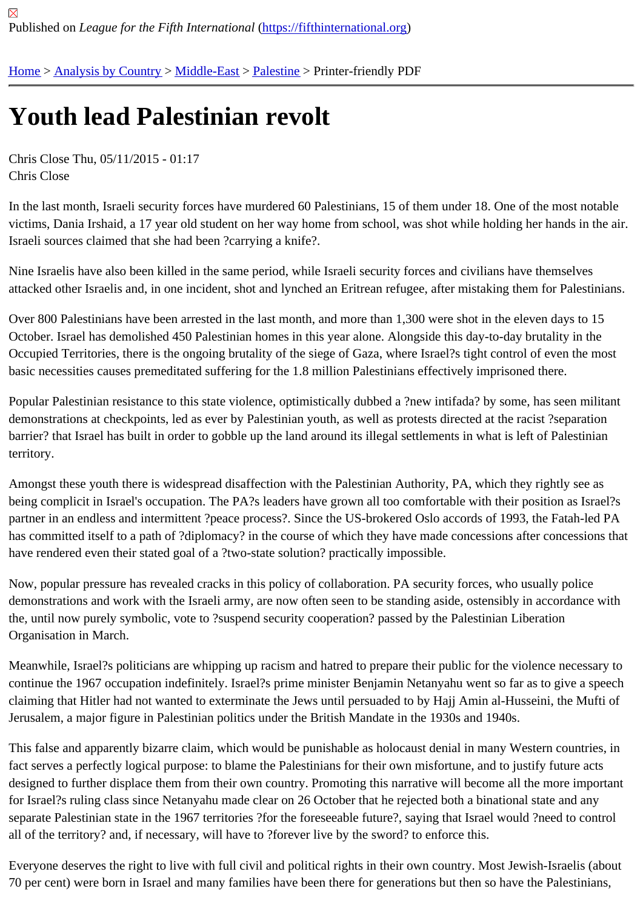## [Yo](https://fifthinternational.org/)[uth lead Pa](https://fifthinternational.org/category/1)[lestinia](https://fifthinternational.org/category/1/178)[n rev](https://fifthinternational.org/category/1/178/192)olt

Chris Close Thu, 05/11/2015 - 01:17 Chris Close

In the last month, Israeli security forces have murdered 60 Palestinians, 15 of them under 18. One of the most not victims, Dania Irshaid, a 17 year old student on her way home from school, was shot while holding her hands in th Israeli sources claimed that she had been ?carrying a knife?.

Nine Israelis have also been killed in the same period, while Israeli security forces and civilians have themselves attacked other Israelis and, in one incident, shot and lynched an Eritrean refugee, after mistaking them for Palestir

Over 800 Palestinians have been arrested in the last month, and more than 1,300 were shot in the eleven days to 15 October. Israel has demolished 450 Palestinian homes in this year alone. Alongside this day-to-day brutality in the Occupied Territories, there is the ongoing brutality of the siege of Gaza, where Israel?s tight control of even the mo basic necessities causes premeditated suffering for the 1.8 million Palestinians effectively imprisoned there.

Popular Palestinian resistance to this state violence, optimistically dubbed a ?new intifada? by some, has seen mil demonstrations at checkpoints, led as ever by Palestinian youth, as well as protests directed at the racist ?separation barrier? that Israel has built in order to gobble up the land around its illegal settlements in what is left of Palestinian territory.

Amongst these youth there is widespread disaffection with the Palestinian Authority, PA, which they rightly see as being complicit in Israel's occupation. The PA?s leaders have grown all too comfortable with their position as Israe partner in an endless and intermittent ?peace process?. Since the US-brokered Oslo accords of 1993, the Fatah-le has committed itself to a path of ?diplomacy? in the course of which they have made concessions after concession have rendered even their stated goal of a ?two-state solution? practically impossible.

Now, popular pressure has revealed cracks in this policy of collaboration. PA security forces, who usually police demonstrations and work with the Israeli army, are now often seen to be standing aside, ostensibly in accordance the, until now purely symbolic, vote to ?suspend security cooperation? passed by the Palestinian Liberation Organisation in March.

Meanwhile, Israel?s politicians are whipping up racism and hatred to prepare their public for the violence necessar continue the 1967 occupation indefinitely. Israel?s prime minister Benjamin Netanyahu went so far as to give a spe claiming that Hitler had not wanted to exterminate the Jews until persuaded to by Hajj Amin al-Husseini, the Mufti Jerusalem, a major figure in Palestinian politics under the British Mandate in the 1930s and 1940s.

This false and apparently bizarre claim, which would be punishable as holocaust denial in many Western countries fact serves a perfectly logical purpose: to blame the Palestinians for their own misfortune, and to justify future acts designed to further displace them from their own country. Promoting this narrative will become all the more importa for Israel?s ruling class since Netanyahu made clear on 26 October that he rejected both a binational state and an separate Palestinian state in the 1967 territories ?for the foreseeable future?, saying that Israel would ?need to co all of the territory? and, if necessary, will have to ?forever live by the sword? to enforce this.

Everyone deserves the right to live with full civil and political rights in their own country. Most Jewish-Israelis (about 70 per cent) were born in Israel and many families have been there for generations but then so have the Palestinia